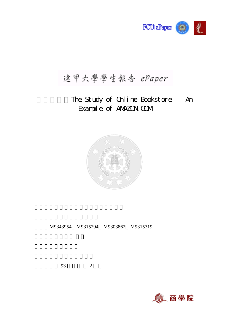

# 逢甲大學學生報告 ePaper

# The Study of Online Bookstore - An Example of ANAZON.COM



M9343954 M9315294 M9303862 M9315319

開課學年: 93 學年度 2 學期

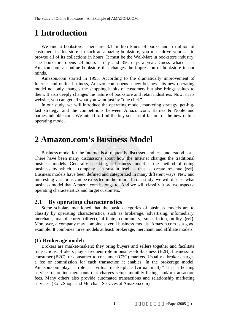# **1 Introduction**

We find a bookstore. There are 3.1 million kinds of books and 5 million of customers in this store. In such an amazing bookstore, you must drive your car to browse all of its collections in hours. It must be the Wal-Mart in bookstore industry. The bookstore opens 24 hours a day and 356 days a year. Guess what? It is Amazon.com, an online bookstore that changes the impression of bookstore in our minds.

Amazon.com started in 1995. According to the dramatically improvement of Internet and online business, Amazon.com opens a new business. Its new operating model not only changes the shopping habits of customers but also brings values to them. It also deeply changes the nature of bookstore and retail industries. Now, in its website, you can get all what you want just by "one click".

In our study, we will introduce the operating model, marketing strategy, get-bigfast strategy, and the competitions between Amazon.com, Barnes & Noble and barnesandnoble.com. We intend to find the key successful factors of the new online operating model.

## **2 Amazon.com's Business Model**

Business model for the Internet is a frequently discussed and less understood issue. There have been many discussions about how the Internet changes the traditional business models. Generally speaking, a business model is the method of doing business by which a company can sustain itself – that is, create revenue **(ref)**. Business models have been defined and categorized in many different ways. New and interesting variations can be expected in the future. In our study, we will discuss what business model that Amazon.com belongs to. And we will classify it by two aspects: operating characteristics and target customers.

### **2.1 By operating characteristics**

Some scholars mentioned that the basic categories of business models are to classify by operating characteristics, such as brokerage, advertising, infomediary, merchant, manufacturer (direct), affiliate, community, subscription, utility **(ref)**. Moreover, a company may combine several business models. Amazon.com is a good example. It combines three models at least: brokerage, merchant, and affiliate models.

#### **(1) Brokerage model:**

Brokers are market-makers: they bring buyers and sellers together and facilitate transactions. Brokers play a frequent role in business-to-business (B2B), business-toconsumer (B2C), or consumer-to-consumer (C2C) markets. Usually a broker charges a fee or commission for each transaction it enables. In the brokerage model, Amazon.com plays a role as "virtual marketplace (virtual mall)." It is a hosting service for online merchants that charges setup, monthly listing, and/or transaction fees. Many others also provide automated transactions and relationship marketing services. (Ex: zShops and Merchant Services at Amazon.com)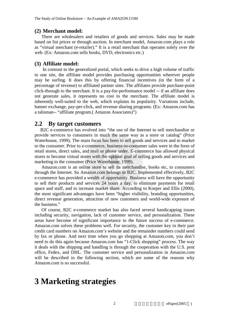#### **(2) Merchant model:**

There are wholesalers and retailers of goods and services. Sales may be made based on list prices or through auction. In merchant model, Amazon.com plays a role as "virtual merchant (e-retailer)." It is a retail merchant that operates solely over the web. (Ex: Amazon.com sells books, DVD, electronics etc.)

#### **(3) Affiliate model:**

 In contrast to the generalized portal, which seeks to drive a high volume of traffic to one site, the affiliate model provides purchasing opportunities wherever people may be surfing. It does this by offering financial incentives (in the form of a percentage of revenue) to affiliated partner sites. The affiliates provide purchase-point click-through to the merchant. It is a pay-for-performance model -- if an affiliate does not generate sales, it represents no cost to the merchant. The affiliate model is inherently well-suited to the web, which explains its popularity. Variations include, banner exchange, pay-per-click, and revenue sharing programs. (Ex: Amazon.com has a talisman-- "affiliate program.( Amazon Associates)")

#### **2.2 By target customers**

B2C e-commerce has evolved into "the use of the Internet to sell merchandise or provide services to consumers in much the same way as a store or catalog" (Price Waterhouse, 1999). The main focus has been to sell goods and services and to market to the consumer. Prior to e-commerce, business-to-consumer sales were in the form of retail stores, direct sales, and mail or phone order. E-commerce has allowed physical stores to become virtual stores with the optimal goal of selling goods and services and marketing to the consumer (Price Waterhouse, 1999).

Amazon.com is an online store to sell its merchandise, books etc, to consumers through the Internet. So Amazon.com belongs to B2C. Implemented effectively, B2C e-commerce has provided a wealth of opportunity. Business will have the opportunity to sell their products and services 24 hours a day, to eliminate payments for retail space and staff, and to increase market share. According to Korper and Ellis (2000), the most significant advantages have been "higher visibility, branding opportunities, direct revenue generation, attraction of new customers and world-wide exposure of the business."

Of course, B2C e-commerce market has also faced several handicapping issues including security, navigation, lack of customer service, and personalization. These areas have become of significant importance to the future success of e-commerce. Amazon.com solves these problems well. For security, the customer key in their part credit card numbers on Amazon.com's website and the remainder numbers could send by fax or phone. And next time when you go shopping at Amazon.com, you don't need to do this again because Amazon.com has "1-Click shopping" process. The way it deals with the shipping and handling is through the cooperation with the U.S. post office, Fedex, and DHL. The customer service and personalization in Amazon.com will be described in the following section, which are some of the reasons why Amazon.com is so successful.

## **3 Marketing strategies**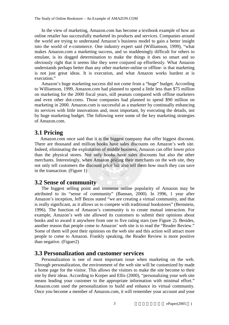In the view of marketing, Amazon.com has become a textbook example of how an online retailer has successfully marketed its products and services. Companies around the world are trying to understand Amazon's business model to gain a better insight into the world of e-commerce. One industry expert said (Williamson, 1999), "what makes Amazon.com a marketing success, and so maddeningly difficult for others to emulate, is its dogged determination to make the things it does so smart and so obviously right that it seems like they were conjured up effortlessly. What Amazon understands perhaps better than any other marketer-online or offline- is that marketing is not just great ideas. It is execution, and what Amazon works hardest at is execution."

Amazon's huge marketing success did not come from a "huge" budget. According to Williamson, 1999, Amazon.com had planned to spend a little less than \$75 million on marketing for the 2000 fiscal years, still peanuts compared with offline marketers and even other dot-coms. Those companies had planned to spend \$90 million on marketing in 2000. Amazon.com is successful as a marketer by continually enhancing its services with little innovations and, most important, by executing the details, not by huge marketing budget. The following were some of the key marketing strategies of Amazon.com.

### **3.1 Pricing**

Amazon.com once said that it is the biggest company that offer biggest discount. There are thousand and million books have sales discounts on Amazon's web site. Indeed, eliminating the exploitation of middle business, Amazon can offer lower price than the physical stores. Not only books have sales discounts but also the other merchants. Interestingly, when Amazon pricing their merchants on the web site, they not only tell customers the discount price but also tell them how much they can save in the transaction. (Figure 1)

### **3.2 Sense of community**

The biggest selling point and immense online popularity of Amazon may be attributed to its "sense of community" (Bannan, 2000). In 1996, 1 year after Amazon's inception, Jeff Bezos stated "we are creating a virtual community, and that is really significant, as it allows us to compete with traditional bookstores" (Bernstein, 1996). The function of Amazon's community is to create mutual interaction. For example, Amazon's web site allowed its customers to submit their opinions about books and to award it anywhere from one to five rating stars (see Figure 2). Besides, another reason that people come to Amazon' web site is to read the "Reader Review." Some of them will post their opinions on the web site and this action will attract more people to come to Amazon. Frankly speaking, the Reader Review is more positive than negative. (Figuer2)

### **3.3 Personalization and customer services**

Personalization is one of most important issue when marketing on the web. Through personalization, the environment of the web site will be customized by made a home page for the visitor. This allows the visitors to make the site become to their site by their ideas. According to Korper and Ellis (2000), "personalizing your web site means leading your customer to the appropriate information with minimal effort." Amazon.com used the personalization to build and enhance its virtual community. Once you become a member of Amazon.com, it will remember your account and your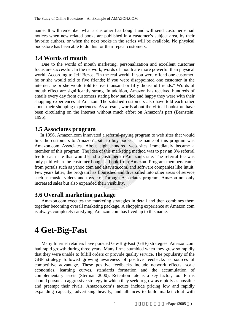name. It will remember what a customer has bought and will send customer email notices when new related books are published in a customer's subject area, by their favorite authors, or when the next books in the series will be available. No physical bookstore has been able to do this for their repeat customers.

#### **3.4 Words of mouth**

Due to the words of mouth marketing, personalization and excellent customer focus are successful. In the network, words of mouth are more powerful than physical world. According to Jeff Bezos, "in the real world, if you were offend one customer, he or she would told to five friends; if you were disappointed one customer in the internet, he or she would told to five thousand or fifty thousand friends." Words of mouth effect are significantly strong. In addition, Amazon has received hundreds of emails every day from customers stating how satisfied and happy they were with their shopping experiences at Amazon. The satisfied customers also have told each other about their shopping experiences. As a result, words about the virtual bookstore have been circulating on the Internet without much effort on Amazon's part (Bernstein, 1996).

#### **3.5 Associates program**

In 1996, Amazon.com innovated a referral-paying program to web sites that would link the customers to Amazon's site to buy books. The name of this program was Amazon.com Associates. About eight hundred web sites immediately became a member of this program. The idea of this marketing method was to pay an 8% referral fee to each site that would send a customer to Amazon's site. The referral fee was only paid when the customer bought a book from Amazon. Program members came from portals such as yahoo.com and altavista.com, and software companies like Intuit. Few years latter, the program has flourished and diversified into other areas of service, such as music, videos and toys etc. Through Associates program, Amazon not only increased sales but also expanded their visibility.

### **3.6 Overall marketing package**

Amazon.com executes the marketing strategies in detail and then combines them together becoming overall marketing package. A shopping experience at Amazon.com is always completely satisfying. Amazon.com has lived up to this name.

## **4 Get-Big-Fast**

Many Internet retailers have pursued Gte-Big-Fast (GBF) strategies. Amazon.com had rapid growth during three years. Many firms stumbled when they grew so rapidly that they were unable to fulfill orders or provide quality service. The popularity of the GBF strategy followed growing awareness of positive feedbacks as sources of competitive advantage. These positive feedbacks include network effects, scale economies, learning curves, standards formation and the accumulation of complementary assets (Sterman 2000). Retention rate is a key factor, too. Firms should pursue an aggressive strategy in which they seek to grow as rapidly as possible and preempt their rivals. Amazon.com's tactics include pricing low and rapidly expanding capacity, advertising heavily, and alliances to build market clout with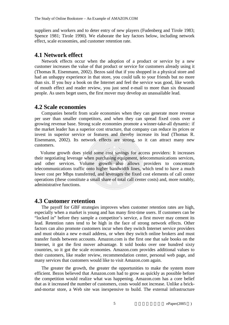suppliers and workers and to deter entry of new players (Fudenberg and Tirole 1983; Spence 1981; Tirole 1990). We elaborate the key factors below, including network effect, scale economies, and customer retention rate.

#### **4.1 Network effect**

Network effects occur when the adoption of a product or service by a new customer increases the value of that product or service for customers already using it (Thomas R. Eisenmann, 2002). Bezos said that if you shopped in a physical store and had an unhappy experience in that store, you could talk to your friends but no more than six. If you buy a book on the Internet and feel the service was good, like words of mouth effect and reader review, you just send e-mail to more than six thousand people. As users beget users, the first mover may develop an unassailable lead.

#### **4.2 Scale economies**

Companies benefit from scale economies when they can generate more revenue per user than smaller competitors, and when they can spread fixed costs over a growing revenue base. Strong scale economies promote a winner-take-all dynamic: if the market leader has a superior cost structure, that company can reduce its prices or invest in superior service or features and thereby increase its lead (Thomas R. Eisenmann, 2002). Its network effects are strong, so it can attract many new customers.

Volume growth does yield some cost savings for access providers: It increases their negotiating leverage when purchasing equipment, telecommunications services, and other services. Volume growth also allows providers to concentrate telecommunications traffic onto higher bandwidth lines, which tend to have a much lower cost per Mbps transferred, and leverages the fixed cost elements of call center operations (these constitute a small share of total call center costs) and, more notably, administrative functions.

#### **4.3 Customer retention**

The payoff for GBF strategies improves when customer retention rates are high, especially when a market is young and has many first-time users. If customers can be "locked in" before they sample a competitor's service, a first mover may cement its lead. Retention rates tend to be high in the face of strong network effects. Other factors can also promote customers incur when they switch Internet service providers and must obtain a new e-mail address, or when they switch online brokers and must transfer funds between accounts. Amazon.com is the first one that sale books on the Internet, it got the first mover advantage. It sold books over one hundred sixty countries, so it got the scale economies. Amazon.com provides additional values to their customers, like reader review, recommendation center, personal web page, and many services that customers would like to visit Amazon.com again.

The greater the growth, the greater the opportunities to make the system more efficient. Bezos believed that Amazon.com had to grow as quickly as possible before the competition would realize what was happening. Amazon.com has a core belief that as it increased the number of customers, costs would not increase. Unlike a brickand-mortar store, a Web site was inexpensive to build. The external infrastructure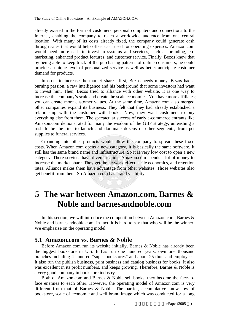already existed in the form of customers' personal computers and connections to the Internet, enabling the company to reach a worldwide audience from one central location. With many of its costs already fixed, the company could generate cash through sales that would help offset cash used for operating expenses. Amazon.com would need more cash to invest in systems and services, such as branding, comarketing, enhanced product features, and customer service. Finally, Bezos knew that by being able to keep track of the purchasing patterns of online consumers, he could provide a unique level of personalized service as well as better anticipate customer demand for products.

In order to increase the market shares, first, Bezos needs money. Bezos had a burning passion, a raw intelligence and his background that some investors had want to invest him. Then, Bezos tried to alliance with other website. It is one way to increase the company's scale and create the scale economics. You have more affiliates; you can create more customer values. At the same time, Amazon.com also merged other companies expand its business. They felt that they had already established a relationship with the customer with books. Now, they want customers to buy everything else from them. The spectacular success of early e-commerce entrants like Amazon.com demonstrated for many the wisdom of the GBF strategy, unleashing a rush to be the first to launch and dominate dozens of other segments, from pet supplies to funeral services.

Expanding into other products would allow the company to spread these fixed costs. When Amazon.com opens a new category, it is basically the same software. It still has the same brand name and infrastructure. So it is very low cost to open a new category. There services have diversification. Amazon.com spends a lot of money to increase the market share. They get the network effect, scale economics, and retention rates. Alliance makes them have advantage from other websites. Those websites also get benefit from them. So Amazon.com has brand visibility.

## **5 The war between Amazon.com, Barnes & Noble and barnesandnoble.com**

In this section, we will introduce the competition between Amazon.com, Barnes & Noble and barnesandnoble.com. In fact, it is hard to say that who will be the winner. We emphasize on the operating model.

### **5.1 Amazon.com vs. Barnes & Noble**

Before Amazon.com run its website initially, Barnes & Noble has already been the biggest bookstore in U.S. It has run one hundred years, own one thousand branches including 4 hundred "super bookstores" and about 25 thousand employees. It also run the publish business, print business and catalog business for books. It also was excellent in its profit numbers, and keeps growing. Therefore, Barnes & Noble is a very good company in bookstore industry.

Both of Amazon.com and Barnes & Noble sell books, they become the face-toface enemies to each other. However, the operating model of Amazon.com is very different from that of Barnes & Noble. The barrier, accumulative know-how of bookstore, scale of economic and well brand image which was conducted for a long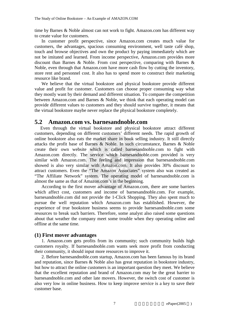time by Barnes & Noble almost can not work to fight. Amazon.com has different way to create value for customers.

In customer profit perspective, since Amazon.com creates much value for customers, the advantages, spacious consuming environment, well taste café shop, touch and browse objectives and own the product by paying immediately which are not be imitated and learned. From income perspective, Amazon.com provides more discount than Barnes & Noble. From cost perspective, comparing with Barnes & Noble, even through that Amazon.com have more cash flow by cutting the inventory, store rent and personnel cost. It also has to spend more to construct their marketing resource like brand.

We believe that the virtual bookstore and physical bookstore provide different value and profit for customer. Customers can choose proper consuming way what they mostly want by their demand and different situation. To compare the competition between Amazon.com and Barnes & Noble, we think that each operating model can provide different values to customers and they should survive together, it means that the virtual bookstore maybe never replace the physical bookstore completely.

#### **5.2 Amazon.com vs. barnesandnoble.com**

Even through the virtual bookstore and physical bookstore attract different customers, depending on different customers' different needs. The rapid growth of online bookstore also eats the market share in book selling industry. It still directly attacks the profit base of Barnes & Noble. In such circumstance, Barnes & Noble create their own website which is called barnesandnoble.com to fight with Amazon.com directly. The service which barnesandnoble.com provided is very similar with Amazon.com. The feeling and impression that barnesandnoble.com showed is also very similar with Amazon.com. It also provides 30% discount to attract customers. Even the "The Amazon Associates" system also was created as "The Affiliate Network" system. The operating model of barnesandnoble.com is almost the same as that of Amazon.com's in the beginning.

According to the first mover advantage of Amazon.com, there are some barriers which affect cost, customers and income of barnesandnoble.com. For example, barnesandnoble.com did not provide the 1-Click Shopping. They also spent much to pursue the well reputation which Amazon.com has established. However, the experience of true bookstore business seems to provide barnesandnoble.com some resources to break such barriers. Therefore, some analyst also raised some questions about that weather the company meet some trouble when they operating online and offline at the same time.

#### **(1) First mover advantages**

1. Amazon.com gets profits from its community; such community builds high customers royalty. If barnesandnoble.com wants seek more profit from conducting their community, it should input more resources to improve it.

2. Before barnesandnoble.com startup, Amazon.com has been famous by its brand and reputation, since Barnes & Noble also has great reputation in bookstore industry, but how to attract the online customers is an important question they meet. We believe that the excellent reputation and brand of Amazon.com may be the great barrier to barnesandnoble.com and other late movers. However, the switch cost of customer is also very low in online business. How to keep improve service is a key to save their customer base.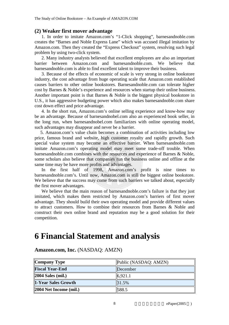#### **(2) Weaker first mover advantage**

1. In order to imitate Amazon.com's "1-Click shopping", barnesandnoble.com creates the "Barnes and Noble Express Lane" which was accused illegal imitation by Amazon.com. Then they created the "Express Checkout" system, resolving such legal problem by using two-click system.

2. Many industry analysts believed that excellent employees are also an important barrier between Amazon.com and barnesandnoble.com. We believe that barnesandnoble.com is able to find excellent talent to improve their business.

3. Because of the effects of economic of scale is very strong in online bookstore industry, the cost advantage from huge operating scale that Amazon.com established causes barriers to other online bookstores. Barnesandnoble.com can tolerate higher cost by Barnes & Noble's experience and resources when startup their online business. Another important point is that Barnes & Noble is the biggest physical bookstore in U.S., it has aggressive budgeting power which also makes barnesandnoble.com share cost down effect and price advantage.

4. In the short run, Amazon.com's online selling experience and know-how may be an advantage. Because of barnesandnobel.com also an experienced book seller, in the long run, when barnesandnobel.com familiarizes with online operating model, such advantages may disappear and never be a barrier.

5. Amazon.com's value chain becomes a combination of activities including low price, famous brand and website, high customer royalty and rapidly growth. Such special value system may become an effective barrier. When barnesandnoble.com imitate Amazon.com's operating model may meet some trade-off trouble. When barnesandnoble.com combines with the resources and experience of Barnes & Noble, some scholars also believe that companies run the business online and offline at the same time may be have more profits and advantages.

In the first half of 1998, Amazon.com's profit is nine times to barnesandnoble.com's. Until now, Amazon.com is still the biggest online bookstore. We believe that the success may come from such barriers we talked about, especially the first mover advantages.

We believe that the main reason of barnesandnoble.com's failure is that they just imitated, which makes them restricted by Amazon.com's barriers of first mover advantage. They should build their own operating model and provide different values to attract customers. How to combine their resources from Barnes & Noble and construct their own online brand and reputation may be a good solution for their competition.

# **6 Financial Statement and analysis**

| Company Type           | Public (NASDAQ: AMZN) |
|------------------------|-----------------------|
| <b>Fiscal Year-End</b> | December              |
| $ 2004$ Sales (mil.)   | 6.921.1               |
| 1-Year Sales Growth    | 31.5%                 |
| 2004 Net Income (mil.) | 588.5                 |

**Amazon.com, Inc.** (NASDAQ: AMZN)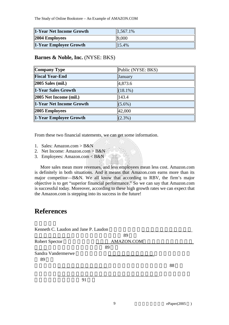The Study of Online Bookstore – An Example of AMAZON.COM

| 1-Year Net Income Growth      | 1,567.1%          |
|-------------------------------|-------------------|
| $ 2004 \text{ Employees} $    | 9,000             |
| <b>1-Year Employee Growth</b> | $\parallel$ 15.4% |

#### **Barnes & Noble, Inc.** (NYSE: BKS)

| Company Type             | Public (NYSE: BKS) |
|--------------------------|--------------------|
| <b>Fiscal Year-End</b>   | January            |
| <b>2005 Sales (mil.)</b> | 4,873.6            |
| 1-Year Sales Growth      | $(18.1\%)$         |
| 2005 Net Income (mil.)   | 143.4              |
| 1-Year Net Income Growth | $(5.6\%)$          |
| 2005 Employees           | 42,000             |
| 1-Year Employee Growth   | $(2.3\%)$          |

From these two financial statements, we can get some information.

- 1. Sales: Amazon.com > B&N
- 2. Net Income: Amazon.com > B&N
- 3. Employees: Amazon.com < B&N

More sales mean more revenues, and less employees mean less cost. Amazon.com is definitely in both situations. And it means that Amazon.com earns more than its major competitor—B&N. We all know that according to RBV, the firm's major objective is to get "superior financial performance." So we can say that Amazon.com is successful today. Moreover, according to these high growth rates we can expect that the Amazon.com is stepping into its success in the future!

### **References**

| 88 |
|----|
|    |
|    |
|    |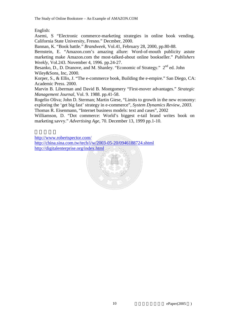English:

Asemi, S "Electronic commerce-marketing strategies in online book vending. California State University, Fresno." Decmber, 2000.

Bannan, K. "Book battle." *Brandweek*, Vol.41, February 28, 2000, pp.80-88.

Bernstein, E. "Amazon.com's amazing allure: Word-of-mouth publicity astute marketing make Amazon.com the most-talked-about online bookseller." *Publishers Weekly*, Vol.243. November 4, 1996. pp.24-27.

Besanko, D., D. Dranove, and M. Shanley. "Economic of Strategy." 2<sup>nd</sup> ed. John Wiley&Sons, Inc, 2000.

Korper, S., & Ellis, J. "The e-commerce book, Building the e-empire." San Diego, CA: Academic Press. 2000.

Marvin B. Liberman and David B. Montgomery "First-mover advantages." *Strategic Management Journal*, Vol. 9. 1988. pp.41-58.

Rogelio Oliva; John D. Sterman; Martin Giese, "Limits to growth in the new economy: exploring the 'get big fast' strategy in e-commerce", *System Dynamics Review, 2003.* 

Thomas R. Eisenmann, "Internet business models: text and cases", 2002

Williamson, D. "Dot commerce: World's biggest e-tail brand writes book on marketing savvy." *Advertising Age*, 70. December 13, 1999 pp.1-10.

http://www.robertspector.com/ http://china.sina.com.tw/tech/i/w/2003-05-20/0946188724.shtml http://digitalenterprise.org/index.html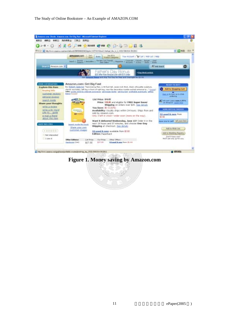#### The Study of Online Bookstore – An Example of AMAZON.COM



### **Figure 1. Money saving by Amazon.com**